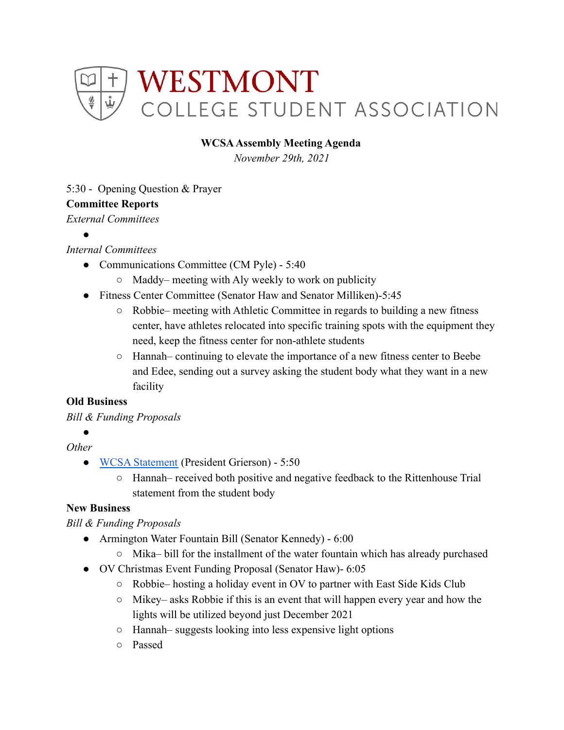

#### **WCSAAssembly Meeting Agenda**

*November 29th, 2021*

#### 5:30 - Opening Question & Prayer

#### **Committee Reports**

*External Committees*

●

## *Internal Committees*

- Communications Committee (CM Pyle) 5:40
	- Maddy– meeting with Aly weekly to work on publicity
- Fitness Center Committee (Senator Haw and Senator Milliken)-5:45
	- Robbie– meeting with Athletic Committee in regards to building a new fitness center, have athletes relocated into specific training spots with the equipment they need, keep the fitness center for non-athlete students
	- Hannah– continuing to elevate the importance of a new fitness center to Beebe and Edee, sending out a survey asking the student body what they want in a new facility

## **Old Business**

## *Bill & Funding Proposals*

●

# *Other*

- [WCSA Statement](https://docs.google.com/document/d/1VTWyaOu8Rfo14UFGDTdlS-6N7XhgRkcBcVIHpH_3zrA/edit) (President Grierson) 5:50
	- Hannah– received both positive and negative feedback to the Rittenhouse Trial statement from the student body

## **New Business**

## *Bill & Funding Proposals*

- Armington Water Fountain Bill (Senator Kennedy) 6:00
	- Mika– bill for the installment of the water fountain which has already purchased
- OV Christmas Event Funding Proposal (Senator Haw)- 6:05
	- $\circ$  Robbie– hosting a holiday event in OV to partner with East Side Kids Club
	- Mikey– asks Robbie if this is an event that will happen every year and how the lights will be utilized beyond just December 2021
	- Hannah– suggests looking into less expensive light options
	- Passed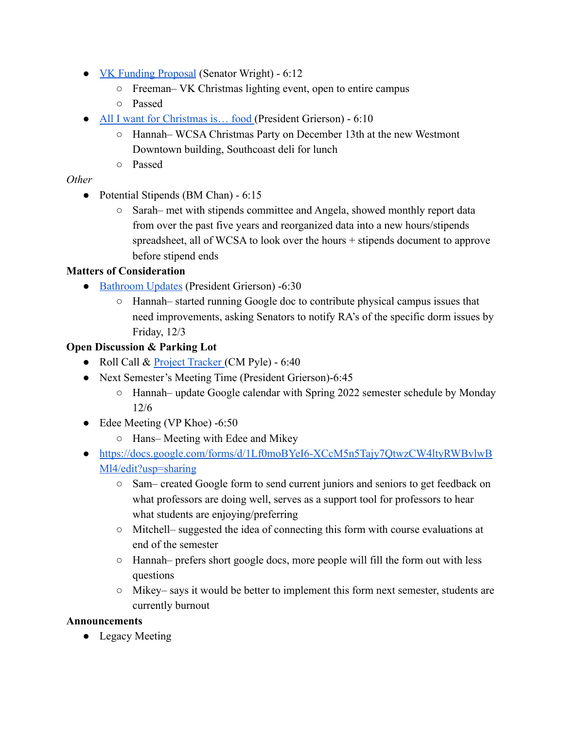- [VK Funding Proposal](https://drive.google.com/drive/folders/1lpBa9euwGHKuq9cLARjDbQxYBe7GiNRT) (Senator Wright) 6:12
	- Freeman– VK Christmas lighting event, open to entire campus
	- Passed
- All I want for Christmas is... food (President Grierson) 6:10
	- Hannah– WCSA Christmas Party on December 13th at the new Westmont Downtown building, Southcoast deli for lunch
	- Passed

# *Other*

- Potential Stipends (BM Chan) 6:15
	- Sarah– met with stipends committee and Angela, showed monthly report data from over the past five years and reorganized data into a new hours/stipends spreadsheet, all of WCSA to look over the hours + stipends document to approve before stipend ends

# **Matters of Consideration**

- **●** [Bathroom Updates](https://docs.google.com/document/d/1uxO59bpUuhVY5uR5CG4tsH9NyNZGmJzU-SvI7Kx5pls/edit) (President Grierson) -6:30
	- Hannah– started running Google doc to contribute physical campus issues that need improvements, asking Senators to notify RA's of the specific dorm issues by Friday, 12/3

# **Open Discussion & Parking Lot**

- Roll Call & [Project Tracker](https://docs.google.com/spreadsheets/d/1idRSJVb6Y0kU_jJ_0nxzY8uNEpNd9slBTNNh5N40JMA/edit#gid=0) (CM Pyle) 6:40
- Next Semester's Meeting Time (President Grierson)-6:45
	- Hannah– update Google calendar with Spring 2022 semester schedule by Monday 12/6
- Edee Meeting (VP Khoe) -6:50
	- Hans– Meeting with Edee and Mikey
- [https://docs.google.com/forms/d/1Lf0moBYeI6-XCcM5n5Tajy7QtwzCW4ltyRWBvlwB](https://docs.google.com/forms/d/1Lf0moBYeI6-XCcM5n5Tajy7QtwzCW4ltyRWBvlwBMl4/edit?usp=sharing) [Ml4/edit?usp=sharing](https://docs.google.com/forms/d/1Lf0moBYeI6-XCcM5n5Tajy7QtwzCW4ltyRWBvlwBMl4/edit?usp=sharing)
	- Sam– created Google form to send current juniors and seniors to get feedback on what professors are doing well, serves as a support tool for professors to hear what students are enjoying/preferring
	- $\circ$  Mitchell– suggested the idea of connecting this form with course evaluations at end of the semester
	- Hannah– prefers short google docs, more people will fill the form out with less questions
	- $\circ$  Mikey– says it would be better to implement this form next semester, students are currently burnout

## **Announcements**

• Legacy Meeting